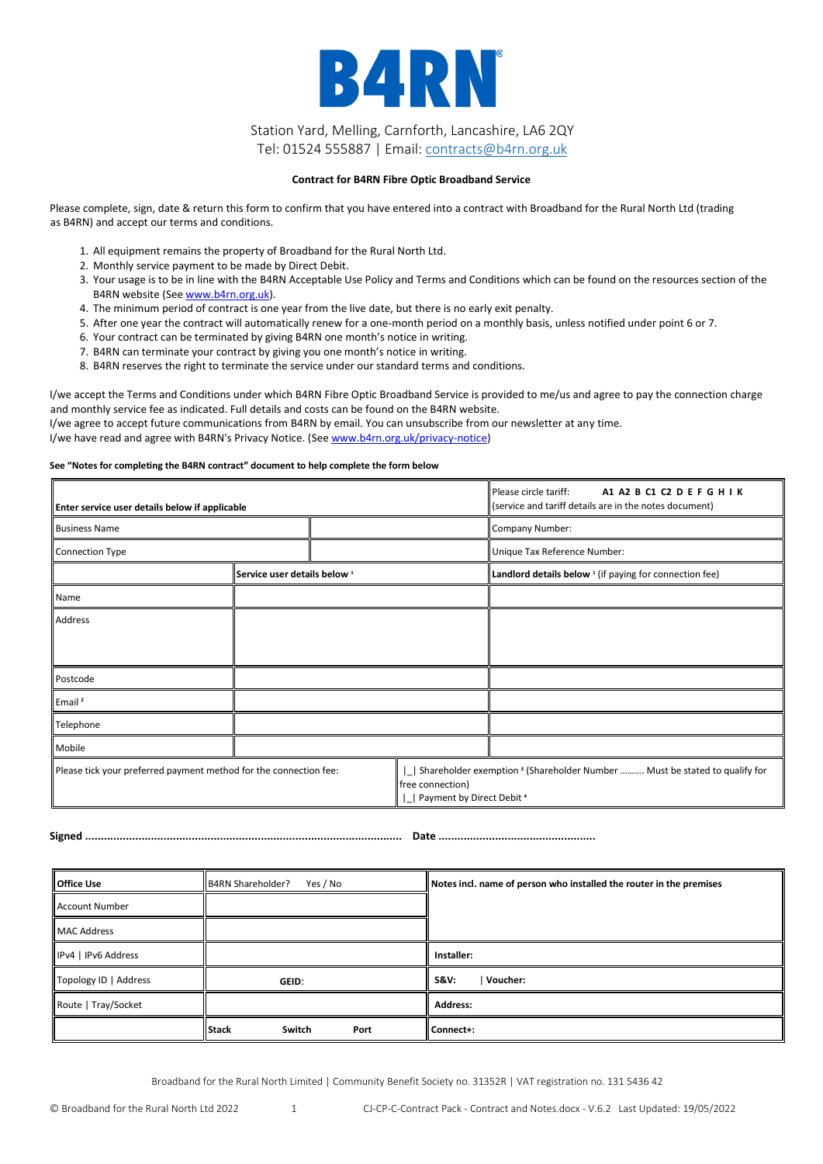

### **Contract for B4RN Fibre Optic Broadband Service**

Please complete, sign, date & return this form to confirm that you have entered into a contract with Broadband for the Rural North Ltd (trading as B4RN) and accept our terms and conditions.

- 1. All equipment remains the property of Broadband for the Rural North Ltd.
- 2. Monthly service payment to be made by Direct Debit.
- 3. Your usage is to be in line with the B4RN Acceptable Use Policy and Terms and Conditions which can be found on the resources section of the B4RN website (Se[e www.b4rn.org.uk\)](http://www.b4rn.org.uk/).
- 4. The minimum period of contract is one year from the live date, but there is no early exit penalty.
- 5. After one year the contract will automatically renew for a one-month period on a monthly basis, unless notified under point 6 or 7.
- 6. Your contract can be terminated by giving B4RN one month's notice in writing.
- 7. B4RN can terminate your contract by giving you one month's notice in writing.
- 8. B4RN reserves the right to terminate the service under our standard terms and conditions.

I/we accept the Terms and Conditions under which B4RN Fibre Optic Broadband Service is provided to me/us and agree to pay the connection charge and monthly service fee as indicated. Full details and costs can be found on the B4RN website. I/we agree to accept future communications from B4RN by email. You can unsubscribe from our newsletter at any time.

I/we have read and agree with B4RN's Privacy Notice. (Se[e www.b4rn.org.uk/privacy-notice\)](http://www.b4rn.org.uk/privacy-notice)

### **See "Notes for completing the B4RN contract" document to help complete the form below**

| Enter service user details below if applicable                    |                                         | A1 A2 B C1 C2 D E F G H I K<br>Please circle tariff:<br>(service and tariff details are in the notes document) |                                                                                                                                                   |                                                                    |
|-------------------------------------------------------------------|-----------------------------------------|----------------------------------------------------------------------------------------------------------------|---------------------------------------------------------------------------------------------------------------------------------------------------|--------------------------------------------------------------------|
| <b>Business Name</b>                                              |                                         |                                                                                                                | Company Number:                                                                                                                                   |                                                                    |
| <b>Connection Type</b>                                            |                                         |                                                                                                                |                                                                                                                                                   | Unique Tax Reference Number:                                       |
|                                                                   | Service user details below <sup>1</sup> |                                                                                                                |                                                                                                                                                   | Landlord details below <sup>1</sup> (if paying for connection fee) |
| Name                                                              |                                         |                                                                                                                |                                                                                                                                                   |                                                                    |
| Address                                                           |                                         |                                                                                                                |                                                                                                                                                   |                                                                    |
|                                                                   |                                         |                                                                                                                |                                                                                                                                                   |                                                                    |
| Postcode                                                          |                                         |                                                                                                                |                                                                                                                                                   |                                                                    |
| Email <sup>2</sup>                                                |                                         |                                                                                                                |                                                                                                                                                   |                                                                    |
| Telephone                                                         |                                         |                                                                                                                |                                                                                                                                                   |                                                                    |
| Mobile                                                            |                                         |                                                                                                                |                                                                                                                                                   |                                                                    |
| Please tick your preferred payment method for the connection fee: |                                         |                                                                                                                | Shareholder exemption <sup>3</sup> (Shareholder Number  Must be stated to qualify for<br>free connection)<br>Payment by Direct Debit <sup>4</sup> |                                                                    |

**Signed ..................................................................................................... Date ..................................................**

| <b>Office Use</b>     | <b>B4RN Shareholder?</b> | Yes / No |      | Notes incl. name of person who installed the router in the premises |
|-----------------------|--------------------------|----------|------|---------------------------------------------------------------------|
| <b>Account Number</b> |                          |          |      |                                                                     |
| <b>MAC Address</b>    |                          |          |      |                                                                     |
| IPv4   IPv6 Address   |                          |          |      | Installer:                                                          |
| Topology ID   Address | GEID:                    |          |      | <b>S&amp;V:</b><br>Voucher:                                         |
| Route   Tray/Socket   |                          |          |      | <b>Address:</b>                                                     |
|                       | <b>Stack</b><br>Switch   |          | Port | Connect+:                                                           |

Broadband for the Rural North Limited | Community Benefit Society no. 31352R | VAT registration no. 131 5436 42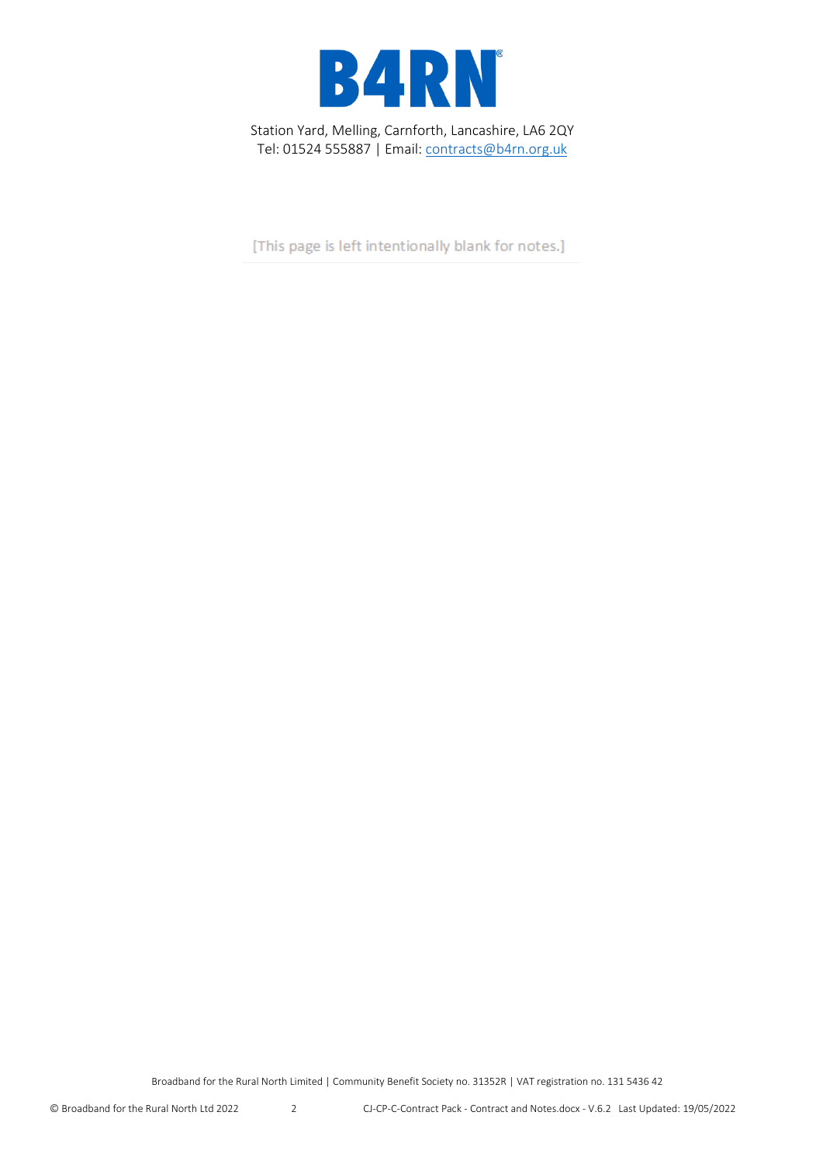

[This page is left intentionally blank for notes.]

Broadband for the Rural North Limited | Community Benefit Society no. 31352R | VAT registration no. 131 5436 42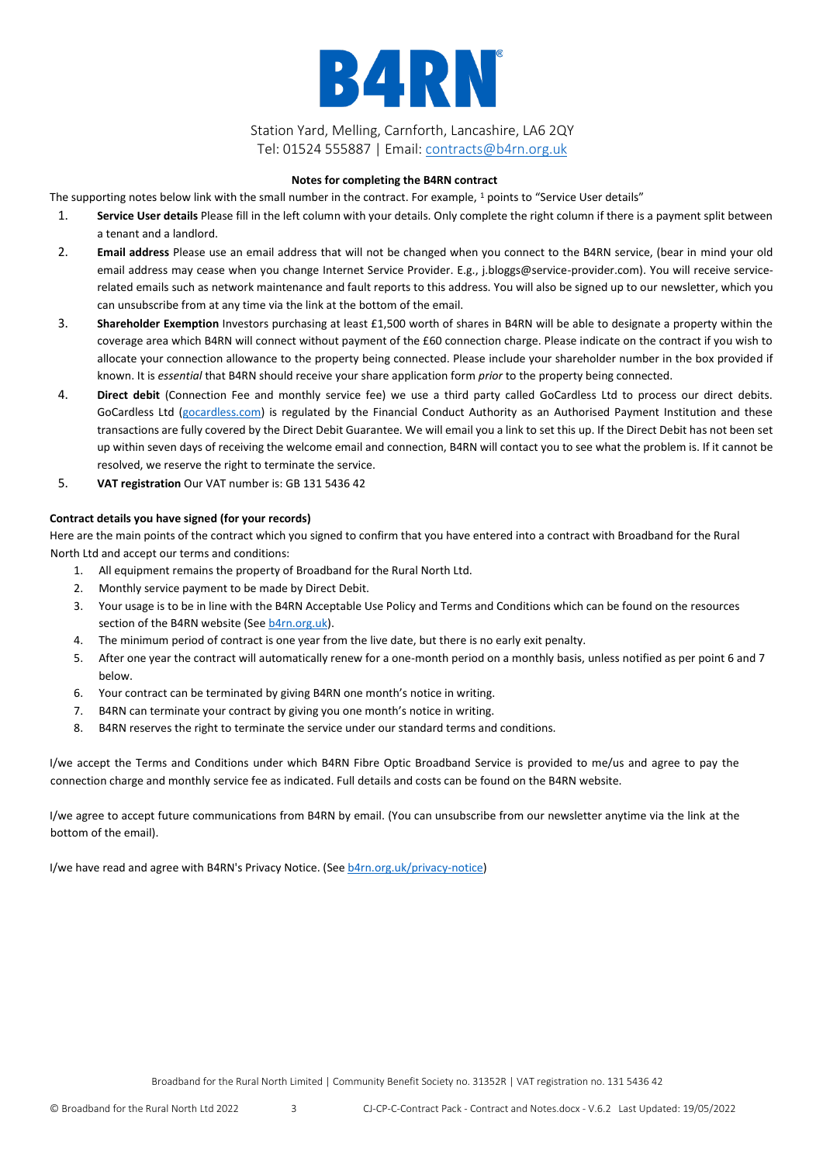

## **Notes for completing the B4RN contract**

The supporting notes below link with the small number in the contract. For example,  $1$  points to "Service User details"

- 1. **Service User details** Please fill in the left column with your details. Only complete the right column if there is a payment split between a tenant and a landlord.
- 2. **Email address** Please use an email address that will not be changed when you connect to the B4RN service, (bear in mind your old email address may cease when you change Internet Service Provider. E.g., j.bloggs@service-provider.com). You will receive servicerelated emails such as network maintenance and fault reports to this address. You will also be signed up to our newsletter, which you can unsubscribe from at any time via the link at the bottom of the email.
- 3. **Shareholder Exemption** Investors purchasing at least £1,500 worth of shares in B4RN will be able to designate a property within the coverage area which B4RN will connect without payment of the £60 connection charge. Please indicate on the contract if you wish to allocate your connection allowance to the property being connected. Please include your shareholder number in the box provided if known. It is *essential* that B4RN should receive your share application form *prior* to the property being connected.
- 4. **Direct debit** (Connection Fee and monthly service fee) we use a third party called GoCardless Ltd to process our direct debits. GoCardless Ltd [\(gocardless.com\)](http://www.gocardless.com/) is regulated by the Financial Conduct Authority as an Authorised Payment Institution and these transactions are fully covered by the Direct Debit Guarantee. We will email you a link to set this up. If the Direct Debit has not been set up within seven days of receiving the welcome email and connection, B4RN will contact you to see what the problem is. If it cannot be resolved, we reserve the right to terminate the service.
- 5. **VAT registration** Our VAT number is: GB 131 5436 42

# **Contract details you have signed (for your records)**

Here are the main points of the contract which you signed to confirm that you have entered into a contract with Broadband for the Rural North Ltd and accept our terms and conditions:

- 1. All equipment remains the property of Broadband for the Rural North Ltd.
- 2. Monthly service payment to be made by Direct Debit.
- 3. Your usage is to be in line with the B4RN Acceptable Use Policy and Terms and Conditions which can be found on the resources section of the B4RN website (Se[e b4rn.org.uk\)](http://www.b4rn.org.uk/).
- 4. The minimum period of contract is one year from the live date, but there is no early exit penalty.
- 5. After one year the contract will automatically renew for a one-month period on a monthly basis, unless notified as per point 6 and 7 below.
- 6. Your contract can be terminated by giving B4RN one month's notice in writing.
- 7. B4RN can terminate your contract by giving you one month's notice in writing.
- 8. B4RN reserves the right to terminate the service under our standard terms and conditions.

I/we accept the Terms and Conditions under which B4RN Fibre Optic Broadband Service is provided to me/us and agree to pay the connection charge and monthly service fee as indicated. Full details and costs can be found on the B4RN website.

I/we agree to accept future communications from B4RN by email. (You can unsubscribe from our newsletter anytime via the link at the bottom of the email).

I/we have read and agree with B4RN's Privacy Notice. (Se[e b4rn.org.uk/privacy-notice\)](http://www.b4rn.org.uk/privacy-notice)